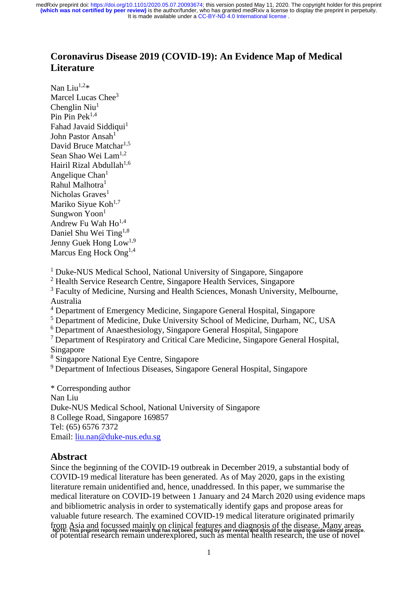# **Coronavirus Disease 2019 (COVID-19): An Evidence Map of Medical Literature**

Nan Liu $^{1,2*}$ Marcel Lucas Chee<sup>3</sup> Chenglin Niu $<sup>1</sup>$ </sup> Pin Pek<sup>1,4</sup> Fahad Javaid Siddiqui<sup>1</sup> John Pastor Ansah<sup>1</sup> David Bruce Matchar<sup>1,5</sup> Sean Shao Wei Lam<sup>1,2</sup> Hairil Rizal Abdullah<sup>1,6</sup> Angelique  $Chan<sup>1</sup>$ Rahul Malhotra<sup>1</sup> Nicholas Graves $<sup>1</sup>$ </sup> Mariko Siyue Koh<sup>1,7</sup> Sungwon Yoon<sup>1</sup> Andrew Fu Wah  $Ho^{1,4}$ Daniel Shu Wei Ting<sup>1,8</sup> Jenny Guek Hong Low<sup>1,9</sup> Marcus Eng Hock Ong<sup>1,4</sup>

<sup>1</sup> Duke-NUS Medical School, National University of Singapore, Singapore

<sup>2</sup> Health Service Research Centre, Singapore Health Services, Singapore

<sup>3</sup> Faculty of Medicine, Nursing and Health Sciences, Monash University, Melbourne, Australia

<sup>4</sup> Department of Emergency Medicine, Singapore General Hospital, Singapore

<sup>5</sup> Department of Medicine, Duke University School of Medicine, Durham, NC, USA

<sup>6</sup> Department of Anaesthesiology, Singapore General Hospital, Singapore

<sup>7</sup> Department of Respiratory and Critical Care Medicine, Singapore General Hospital, Singapore

<sup>8</sup> Singapore National Eye Centre, Singapore

<sup>9</sup> Department of Infectious Diseases, Singapore General Hospital, Singapore

\* Corresponding author Nan Liu Duke-NUS Medical School, National University of Singapore 8 College Road, Singapore 169857 Tel: (65) 6576 7372 Email: [liu.nan@duke-nus.edu.sg](mailto:liu.nan@duke-nus.edu.sg)

## **Abstract**

Since the beginning of the COVID-19 outbreak in December 2019, a substantial body of COVID-19 medical literature has been generated. As of May 2020, gaps in the existing literature remain unidentified and, hence, unaddressed. In this paper, we summarise the medical literature on COVID-19 between 1 January and 24 March 2020 using evidence maps and bibliometric analysis in order to systematically identify gaps and propose areas for valuable future research. The examined COVID-19 medical literature originated primarily from Asia and focussed mainly on clinical features and diagnosis of the disease. Many areas NOTE: This preprint reports new research that has not been certified by peer review and should not be used to quide clinical practice.<br>Of potential research remain underexplored, such as mental health research, the use of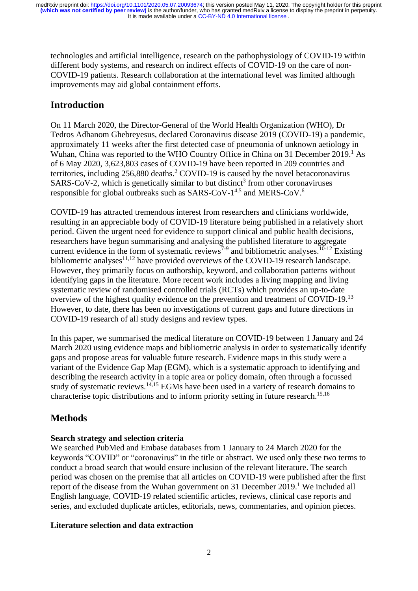technologies and artificial intelligence, research on the pathophysiology of COVID-19 within different body systems, and research on indirect effects of COVID-19 on the care of non-COVID-19 patients. Research collaboration at the international level was limited although improvements may aid global containment efforts.

# **Introduction**

On 11 March 2020, the Director-General of the World Health Organization (WHO), Dr Tedros Adhanom Ghebreyesus, declared Coronavirus disease 2019 (COVID-19) a pandemic, approximately 11 weeks after the first detected case of pneumonia of unknown aetiology in Wuhan, China was reported to the WHO Country Office in China on 31 December 2019. <sup>1</sup> As of 6 May 2020, 3,623,803 cases of COVID-19 have been reported in 209 countries and territories, including 256,880 deaths. <sup>2</sup> COVID-19 is caused by the novel betacoronavirus  $SARS-CoV-2$ , which is genetically similar to but distinct<sup>3</sup> from other coronaviruses responsible for global outbreaks such as SARS-CoV- $1^{4,5}$  and MERS-CoV.<sup>6</sup>

COVID-19 has attracted tremendous interest from researchers and clinicians worldwide, resulting in an appreciable body of COVID-19 literature being published in a relatively short period. Given the urgent need for evidence to support clinical and public health decisions, researchers have begun summarising and analysing the published literature to aggregate current evidence in the form of systematic reviews<sup>7-9</sup> and bibliometric analyses.<sup>10-12</sup> Existing bibliometric analyses $11,12$  have provided overviews of the COVID-19 research landscape. However, they primarily focus on authorship, keyword, and collaboration patterns without identifying gaps in the literature. More recent work includes a living mapping and living systematic review of randomised controlled trials (RCTs) which provides an up-to-date overview of the highest quality evidence on the prevention and treatment of COVID-19.<sup>13</sup> However, to date, there has been no investigations of current gaps and future directions in COVID-19 research of all study designs and review types.

In this paper, we summarised the medical literature on COVID-19 between 1 January and 24 March 2020 using evidence maps and bibliometric analysis in order to systematically identify gaps and propose areas for valuable future research. Evidence maps in this study were a variant of the Evidence Gap Map (EGM), which is a systematic approach to identifying and describing the research activity in a topic area or policy domain, often through a focussed study of systematic reviews.<sup>14,15</sup> EGMs have been used in a variety of research domains to characterise topic distributions and to inform priority setting in future research.<sup>15,16</sup>

# **Methods**

### **Search strategy and selection criteria**

We searched PubMed and Embase databases from 1 January to 24 March 2020 for the keywords "COVID" or "coronavirus" in the title or abstract. We used only these two terms to conduct a broad search that would ensure inclusion of the relevant literature. The search period was chosen on the premise that all articles on COVID-19 were published after the first report of the disease from the Wuhan government on 31 December 2019.<sup>1</sup> We included all English language, COVID-19 related scientific articles, reviews, clinical case reports and series, and excluded duplicate articles, editorials, news, commentaries, and opinion pieces.

## **Literature selection and data extraction**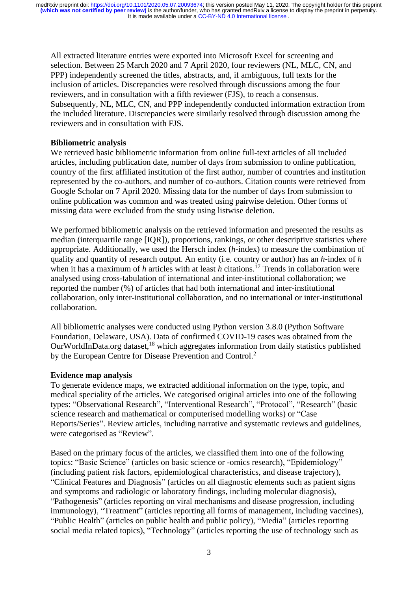All extracted literature entries were exported into Microsoft Excel for screening and selection. Between 25 March 2020 and 7 April 2020, four reviewers (NL, MLC, CN, and PPP) independently screened the titles, abstracts, and, if ambiguous, full texts for the inclusion of articles. Discrepancies were resolved through discussions among the four reviewers, and in consultation with a fifth reviewer (FJS), to reach a consensus. Subsequently, NL, MLC, CN, and PPP independently conducted information extraction from the included literature. Discrepancies were similarly resolved through discussion among the reviewers and in consultation with FJS.

#### **Bibliometric analysis**

We retrieved basic bibliometric information from online full-text articles of all included articles, including publication date, number of days from submission to online publication, country of the first affiliated institution of the first author, number of countries and institution represented by the co-authors, and number of co-authors. Citation counts were retrieved from Google Scholar on 7 April 2020. Missing data for the number of days from submission to online publication was common and was treated using pairwise deletion. Other forms of missing data were excluded from the study using listwise deletion.

We performed bibliometric analysis on the retrieved information and presented the results as median (interquartile range [IQR]), proportions, rankings, or other descriptive statistics where appropriate. Additionally, we used the Hersch index (*h*-index) to measure the combination of quality and quantity of research output. An entity (i.e. country or author) has an *h*-index of *h* when it has a maximum of *h* articles with at least *h* citations.<sup>17</sup> Trends in collaboration were analysed using cross-tabulation of international and inter-institutional collaboration; we reported the number (%) of articles that had both international and inter-institutional collaboration, only inter-institutional collaboration, and no international or inter-institutional collaboration.

All bibliometric analyses were conducted using Python version 3.8.0 (Python Software Foundation, Delaware, USA). Data of confirmed COVID-19 cases was obtained from the OurWorldInData.org dataset,<sup>18</sup> which aggregates information from daily statistics published by the European Centre for Disease Prevention and Control.<sup>2</sup>

#### **Evidence map analysis**

To generate evidence maps, we extracted additional information on the type, topic, and medical speciality of the articles. We categorised original articles into one of the following types: "Observational Research", "Interventional Research", "Protocol", "Research" (basic science research and mathematical or computerised modelling works) or "Case Reports/Series". Review articles, including narrative and systematic reviews and guidelines, were categorised as "Review".

Based on the primary focus of the articles, we classified them into one of the following topics: "Basic Science" (articles on basic science or -omics research), "Epidemiology" (including patient risk factors, epidemiological characteristics, and disease trajectory), "Clinical Features and Diagnosis" (articles on all diagnostic elements such as patient signs and symptoms and radiologic or laboratory findings, including molecular diagnosis), "Pathogenesis" (articles reporting on viral mechanisms and disease progression, including immunology), "Treatment" (articles reporting all forms of management, including vaccines), "Public Health" (articles on public health and public policy), "Media" (articles reporting social media related topics), "Technology" (articles reporting the use of technology such as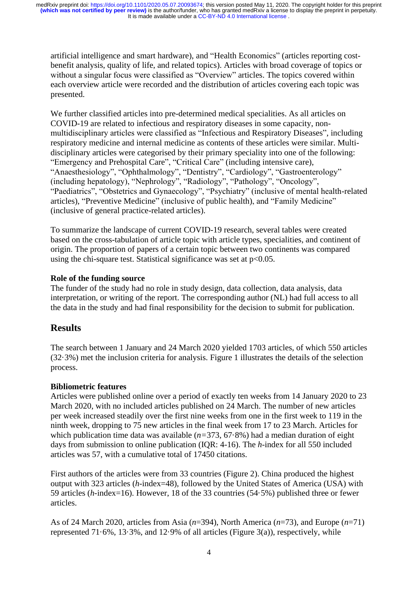artificial intelligence and smart hardware), and "Health Economics" (articles reporting costbenefit analysis, quality of life, and related topics). Articles with broad coverage of topics or without a singular focus were classified as "Overview" articles. The topics covered within each overview article were recorded and the distribution of articles covering each topic was presented.

We further classified articles into pre-determined medical specialities. As all articles on COVID-19 are related to infectious and respiratory diseases in some capacity, nonmultidisciplinary articles were classified as "Infectious and Respiratory Diseases", including respiratory medicine and internal medicine as contents of these articles were similar. Multidisciplinary articles were categorised by their primary speciality into one of the following: "Emergency and Prehospital Care", "Critical Care" (including intensive care), "Anaesthesiology", "Ophthalmology", "Dentistry", "Cardiology", "Gastroenterology" (including hepatology), "Nephrology", "Radiology", "Pathology", "Oncology", "Paediatrics", "Obstetrics and Gynaecology", "Psychiatry" (inclusive of mental health-related articles), "Preventive Medicine" (inclusive of public health), and "Family Medicine" (inclusive of general practice-related articles).

To summarize the landscape of current COVID-19 research, several tables were created based on the cross-tabulation of article topic with article types, specialities, and continent of origin. The proportion of papers of a certain topic between two continents was compared using the chi-square test. Statistical significance was set at  $p<0.05$ .

### **Role of the funding source**

The funder of the study had no role in study design, data collection, data analysis, data interpretation, or writing of the report. The corresponding author (NL) had full access to all the data in the study and had final responsibility for the decision to submit for publication.

# **Results**

The search between 1 January and 24 March 2020 yielded 1703 articles, of which 550 articles (32·3%) met the inclusion criteria for analysis. Figure 1 illustrates the details of the selection process.

## **Bibliometric features**

Articles were published online over a period of exactly ten weeks from 14 January 2020 to 23 March 2020, with no included articles published on 24 March. The number of new articles per week increased steadily over the first nine weeks from one in the first week to 119 in the ninth week, dropping to 75 new articles in the final week from 17 to 23 March. Articles for which publication time data was available (*n=*373, 67·8%) had a median duration of eight days from submission to online publication (IQR: 4-16). The *h*-index for all 550 included articles was 57, with a cumulative total of 17450 citations.

First authors of the articles were from 33 countries (Figure 2). China produced the highest output with 323 articles (*h*-index=48), followed by the United States of America (USA) with 59 articles (*h*-index=16). However, 18 of the 33 countries (54·5%) published three or fewer articles.

As of 24 March 2020, articles from Asia (*n*=394), North America (*n*=73), and Europe (*n*=71) represented  $71.6\%$ ,  $13.3\%$ , and  $12.9\%$  of all articles (Figure 3(a)), respectively, while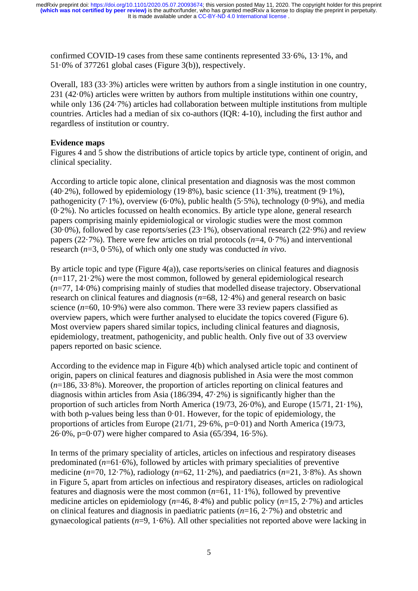confirmed COVID-19 cases from these same continents represented 33·6%, 13·1%, and 51·0% of 377261 global cases (Figure 3(b)), respectively.

Overall, 183 (33·3%) articles were written by authors from a single institution in one country, 231 (42·0%) articles were written by authors from multiple institutions within one country, while only 136 (24.7%) articles had collaboration between multiple institutions from multiple countries. Articles had a median of six co-authors (IQR: 4-10), including the first author and regardless of institution or country.

#### **Evidence maps**

Figures 4 and 5 show the distributions of article topics by article type, continent of origin, and clinical speciality.

According to article topic alone, clinical presentation and diagnosis was the most common  $(40.2\%)$ , followed by epidemiology  $(19.8\%)$ , basic science  $(11.3\%)$ , treatment  $(9.1\%)$ , pathogenicity (7 $\cdot$ 1%), overview (6 $\cdot$ 0%), public health (5 $\cdot$ 5%), technology (0 $\cdot$ 9%), and media (0·2%). No articles focussed on health economics. By article type alone, general research papers comprising mainly epidemiological or virologic studies were the most common (30·0%), followed by case reports/series (23·1%), observational research (22·9%) and review papers (22·7%). There were few articles on trial protocols (*n*=4, 0·7%) and interventional research (*n*=3, 0·5%), of which only one study was conducted *in vivo*.

By article topic and type (Figure  $4(a)$ ), case reports/series on clinical features and diagnosis (*n*=117, 21·2%) were the most common, followed by general epidemiological research (*n*=77, 14·0%) comprising mainly of studies that modelled disease trajectory. Observational research on clinical features and diagnosis (*n*=68, 12·4%) and general research on basic science  $(n=60, 10.9\%)$  were also common. There were 33 review papers classified as overview papers, which were further analysed to elucidate the topics covered (Figure 6). Most overview papers shared similar topics, including clinical features and diagnosis, epidemiology, treatment, pathogenicity, and public health. Only five out of 33 overview papers reported on basic science.

According to the evidence map in Figure 4(b) which analysed article topic and continent of origin, papers on clinical features and diagnosis published in Asia were the most common (*n*=186, 33·8%). Moreover, the proportion of articles reporting on clinical features and diagnosis within articles from Asia (186/394, 47·2%) is significantly higher than the proportion of such articles from North America (19/73, 26·0%), and Europe (15/71, 21·1%), with both p-values being less than 0.01. However, for the topic of epidemiology, the proportions of articles from Europe  $(21/71, 29.6\%, p=0.01)$  and North America (19/73, 26·0%, p=0·07) were higher compared to Asia (65/394, 16·5%).

In terms of the primary speciality of articles, articles on infectious and respiratory diseases predominated  $(n=61.6\%)$ , followed by articles with primary specialities of preventive medicine (*n*=70, 12·7%), radiology (*n*=62, 11·2%), and paediatrics (*n*=21, 3·8%). As shown in Figure 5, apart from articles on infectious and respiratory diseases, articles on radiological features and diagnosis were the most common  $(n=61, 11.1\%)$ , followed by preventive medicine articles on epidemiology (*n*=46, 8·4%) and public policy (*n*=15, 2·7%) and articles on clinical features and diagnosis in paediatric patients (*n*=16, 2·7%) and obstetric and gynaecological patients (*n*=9, 1·6%). All other specialities not reported above were lacking in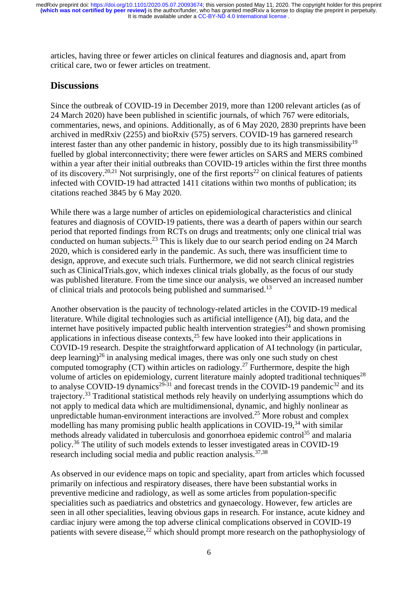articles, having three or fewer articles on clinical features and diagnosis and, apart from critical care, two or fewer articles on treatment.

## **Discussions**

Since the outbreak of COVID-19 in December 2019, more than 1200 relevant articles (as of 24 March 2020) have been published in scientific journals, of which 767 were editorials, commentaries, news, and opinions. Additionally, as of 6 May 2020, 2830 preprints have been archived in medRxiv (2255) and bioRxiv (575) servers. COVID-19 has garnered research interest faster than any other pandemic in history, possibly due to its high transmissibility<sup>19</sup> fuelled by global interconnectivity; there were fewer articles on SARS and MERS combined within a year after their initial outbreaks than COVID-19 articles within the first three months of its discovery.<sup>20,21</sup> Not surprisingly, one of the first reports<sup>22</sup> on clinical features of patients infected with COVID-19 had attracted 1411 citations within two months of publication; its citations reached 3845 by 6 May 2020.

While there was a large number of articles on epidemiological characteristics and clinical features and diagnosis of COVID-19 patients, there was a dearth of papers within our search period that reported findings from RCTs on drugs and treatments; only one clinical trial was conducted on human subjects.<sup>23</sup> This is likely due to our search period ending on 24 March 2020, which is considered early in the pandemic. As such, there was insufficient time to design, approve, and execute such trials. Furthermore, we did not search clinical registries such as ClinicalTrials.gov, which indexes clinical trials globally, as the focus of our study was published literature. From the time since our analysis, we observed an increased number of clinical trials and protocols being published and summarised.<sup>13</sup>

Another observation is the paucity of technology-related articles in the COVID-19 medical literature. While digital technologies such as artificial intelligence (AI), big data, and the internet have positively impacted public health intervention strategies<sup> $24$ </sup> and shown promising applications in infectious disease contexts, $2<sup>5</sup>$  few have looked into their applications in COVID-19 research. Despite the straightforward application of AI technology (in particular, deep learning)<sup>26</sup> in analysing medical images, there was only one such study on chest computed tomography (CT) within articles on radiology.<sup>27</sup> Furthermore, despite the high volume of articles on epidemiology, current literature mainly adopted traditional techniques<sup>28</sup> to analyse COVID-19 dynamics<sup>29-31</sup> and forecast trends in the COVID-19 pandemic<sup>32</sup> and its trajectory.<sup>33</sup> Traditional statistical methods rely heavily on underlying assumptions which do not apply to medical data which are multidimensional, dynamic, and highly nonlinear as unpredictable human-environment interactions are involved. <sup>25</sup> More robust and complex modelling has many promising public health applications in COVID-19, $34$  with similar methods already validated in tuberculosis and gonorrhoea epidemic control<sup>35</sup> and malaria policy.<sup>36</sup> The utility of such models extends to lesser investigated areas in COVID-19 research including social media and public reaction analysis.<sup>37,38</sup>

As observed in our evidence maps on topic and speciality, apart from articles which focussed primarily on infectious and respiratory diseases, there have been substantial works in preventive medicine and radiology, as well as some articles from population-specific specialities such as paediatrics and obstetrics and gynaecology. However, few articles are seen in all other specialities, leaving obvious gaps in research. For instance, acute kidney and cardiac injury were among the top adverse clinical complications observed in COVID-19 patients with severe disease,<sup>22</sup> which should prompt more research on the pathophysiology of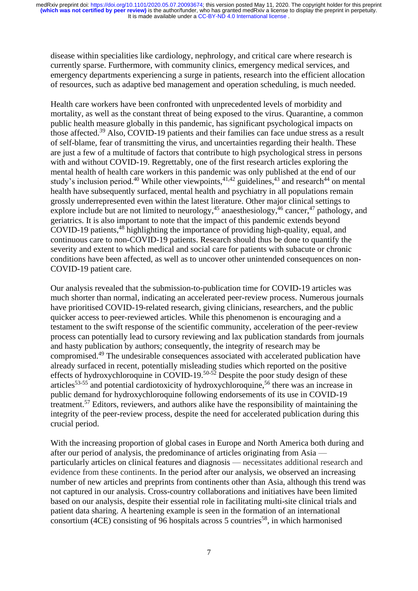disease within specialities like cardiology, nephrology, and critical care where research is currently sparse. Furthermore, with community clinics, emergency medical services, and emergency departments experiencing a surge in patients, research into the efficient allocation of resources, such as adaptive bed management and operation scheduling, is much needed.

Health care workers have been confronted with unprecedented levels of morbidity and mortality, as well as the constant threat of being exposed to the virus. Quarantine, a common public health measure globally in this pandemic, has significant psychological impacts on those affected.<sup>39</sup> Also, COVID-19 patients and their families can face undue stress as a result of self-blame, fear of transmitting the virus, and uncertainties regarding their health. These are just a few of a multitude of factors that contribute to high psychological stress in persons with and without COVID-19. Regrettably, one of the first research articles exploring the mental health of health care workers in this pandemic was only published at the end of our study's inclusion period.<sup>40</sup> While other viewpoints,<sup>41,42</sup> guidelines,<sup>43</sup> and research<sup>44</sup> on mental health have subsequently surfaced, mental health and psychiatry in all populations remain grossly underrepresented even within the latest literature. Other major clinical settings to explore include but are not limited to neurology,<sup>45</sup> anaesthesiology, $46$  cancer, $47$  pathology, and geriatrics. It is also important to note that the impact of this pandemic extends beyond COVID-19 patients, <sup>48</sup> highlighting the importance of providing high-quality, equal, and continuous care to non-COVID-19 patients. Research should thus be done to quantify the severity and extent to which medical and social care for patients with subacute or chronic conditions have been affected, as well as to uncover other unintended consequences on non-COVID-19 patient care.

Our analysis revealed that the submission-to-publication time for COVID-19 articles was much shorter than normal, indicating an accelerated peer-review process. Numerous journals have prioritised COVID-19-related research, giving clinicians, researchers, and the public quicker access to peer-reviewed articles. While this phenomenon is encouraging and a testament to the swift response of the scientific community, acceleration of the peer-review process can potentially lead to cursory reviewing and lax publication standards from journals and hasty publication by authors; consequently, the integrity of research may be compromised.<sup>49</sup> The undesirable consequences associated with accelerated publication have already surfaced in recent, potentially misleading studies which reported on the positive effects of hydroxychloroquine in COVID-19.<sup>50-52</sup> Despite the poor study design of these articles<sup>53-55</sup> and potential cardiotoxicity of hydroxychloroquine,<sup>56</sup> there was an increase in public demand for hydroxychloroquine following endorsements of its use in COVID-19 treatment.<sup>57</sup> Editors, reviewers, and authors alike have the responsibility of maintaining the integrity of the peer-review process, despite the need for accelerated publication during this crucial period.

With the increasing proportion of global cases in Europe and North America both during and after our period of analysis, the predominance of articles originating from Asia particularly articles on clinical features and diagnosis — necessitates additional research and evidence from these continents. In the period after our analysis, we observed an increasing number of new articles and preprints from continents other than Asia, although this trend was not captured in our analysis. Cross-country collaborations and initiatives have been limited based on our analysis, despite their essential role in facilitating multi-site clinical trials and patient data sharing. A heartening example is seen in the formation of an international consortium (4CE) consisting of 96 hospitals across 5 countries<sup>58</sup>, in which harmonised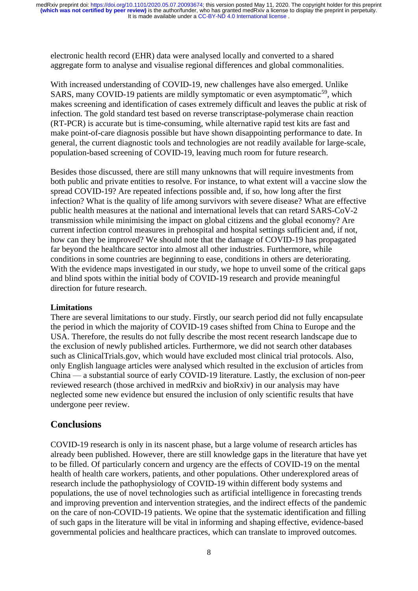electronic health record (EHR) data were analysed locally and converted to a shared aggregate form to analyse and visualise regional differences and global commonalities.

With increased understanding of COVID-19, new challenges have also emerged. Unlike SARS, many COVID-19 patients are mildly symptomatic or even asymptomatic<sup>59</sup>, which makes screening and identification of cases extremely difficult and leaves the public at risk of infection. The gold standard test based on reverse transcriptase-polymerase chain reaction (RT-PCR) is accurate but is time-consuming, while alternative rapid test kits are fast and make point-of-care diagnosis possible but have shown disappointing performance to date. In general, the current diagnostic tools and technologies are not readily available for large-scale, population-based screening of COVID-19, leaving much room for future research.

Besides those discussed, there are still many unknowns that will require investments from both public and private entities to resolve. For instance, to what extent will a vaccine slow the spread COVID-19? Are repeated infections possible and, if so, how long after the first infection? What is the quality of life among survivors with severe disease? What are effective public health measures at the national and international levels that can retard SARS-CoV-2 transmission while minimising the impact on global citizens and the global economy? Are current infection control measures in prehospital and hospital settings sufficient and, if not, how can they be improved? We should note that the damage of COVID-19 has propagated far beyond the healthcare sector into almost all other industries. Furthermore, while conditions in some countries are beginning to ease, conditions in others are deteriorating. With the evidence maps investigated in our study, we hope to unveil some of the critical gaps and blind spots within the initial body of COVID-19 research and provide meaningful direction for future research.

#### **Limitations**

There are several limitations to our study. Firstly, our search period did not fully encapsulate the period in which the majority of COVID-19 cases shifted from China to Europe and the USA. Therefore, the results do not fully describe the most recent research landscape due to the exclusion of newly published articles. Furthermore, we did not search other databases such as ClinicalTrials.gov, which would have excluded most clinical trial protocols. Also, only English language articles were analysed which resulted in the exclusion of articles from China — a substantial source of early COVID-19 literature. Lastly, the exclusion of non-peer reviewed research (those archived in medRxiv and bioRxiv) in our analysis may have neglected some new evidence but ensured the inclusion of only scientific results that have undergone peer review.

### **Conclusions**

COVID-19 research is only in its nascent phase, but a large volume of research articles has already been published. However, there are still knowledge gaps in the literature that have yet to be filled. Of particularly concern and urgency are the effects of COVID-19 on the mental health of health care workers, patients, and other populations. Other underexplored areas of research include the pathophysiology of COVID-19 within different body systems and populations, the use of novel technologies such as artificial intelligence in forecasting trends and improving prevention and intervention strategies, and the indirect effects of the pandemic on the care of non-COVID-19 patients. We opine that the systematic identification and filling of such gaps in the literature will be vital in informing and shaping effective, evidence-based governmental policies and healthcare practices, which can translate to improved outcomes.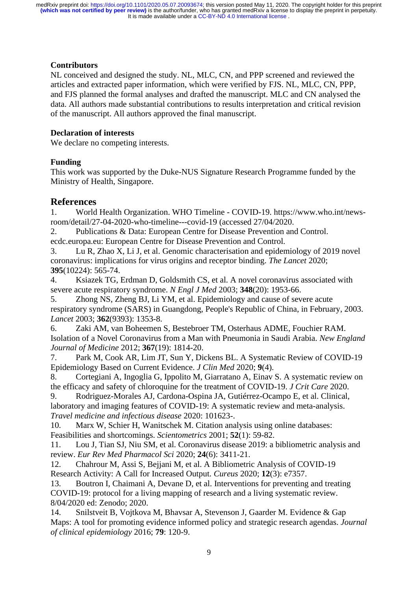#### **Contributors**

NL conceived and designed the study. NL, MLC, CN, and PPP screened and reviewed the articles and extracted paper information, which were verified by FJS. NL, MLC, CN, PPP, and FJS planned the formal analyses and drafted the manuscript. MLC and CN analysed the data. All authors made substantial contributions to results interpretation and critical revision of the manuscript. All authors approved the final manuscript.

### **Declaration of interests**

We declare no competing interests.

## **Funding**

This work was supported by the Duke-NUS Signature Research Programme funded by the Ministry of Health, Singapore.

# **References**

1. World Health Organization. WHO Timeline - COVID-19. https://www.who.int/newsroom/detail/27-04-2020-who-timeline---covid-19 (accessed 27/04/2020.

2. Publications & Data: European Centre for Disease Prevention and Control. ecdc.europa.eu: European Centre for Disease Prevention and Control.

3. Lu R, Zhao X, Li J, et al. Genomic characterisation and epidemiology of 2019 novel coronavirus: implications for virus origins and receptor binding. *The Lancet* 2020; **395**(10224): 565-74.

4. Ksiazek TG, Erdman D, Goldsmith CS, et al. A novel coronavirus associated with severe acute respiratory syndrome. *N Engl J Med* 2003; **348**(20): 1953-66.

5. Zhong NS, Zheng BJ, Li YM, et al. Epidemiology and cause of severe acute respiratory syndrome (SARS) in Guangdong, People's Republic of China, in February, 2003. *Lancet* 2003; **362**(9393): 1353-8.

6. Zaki AM, van Boheemen S, Bestebroer TM, Osterhaus ADME, Fouchier RAM. Isolation of a Novel Coronavirus from a Man with Pneumonia in Saudi Arabia. *New England Journal of Medicine* 2012; **367**(19): 1814-20.

7. Park M, Cook AR, Lim JT, Sun Y, Dickens BL. A Systematic Review of COVID-19 Epidemiology Based on Current Evidence. *J Clin Med* 2020; **9**(4).

8. Cortegiani A, Ingoglia G, Ippolito M, Giarratano A, Einav S. A systematic review on the efficacy and safety of chloroquine for the treatment of COVID-19. *J Crit Care* 2020.

9. Rodriguez-Morales AJ, Cardona-Ospina JA, Gutiérrez-Ocampo E, et al. Clinical, laboratory and imaging features of COVID-19: A systematic review and meta-analysis. *Travel medicine and infectious disease* 2020: 101623-.

10. Marx W, Schier H, Wanitschek M. Citation analysis using online databases: Feasibilities and shortcomings. *Scientometrics* 2001; **52**(1): 59-82.

11. Lou J, Tian SJ, Niu SM, et al. Coronavirus disease 2019: a bibliometric analysis and review. *Eur Rev Med Pharmacol Sci* 2020; **24**(6): 3411-21.

12. Chahrour M, Assi S, Bejjani M, et al. A Bibliometric Analysis of COVID-19 Research Activity: A Call for Increased Output. *Cureus* 2020; **12**(3): e7357.

13. Boutron I, Chaimani A, Devane D, et al. Interventions for preventing and treating COVID-19: protocol for a living mapping of research and a living systematic review. 8/04/2020 ed: Zenodo; 2020.

14. Snilstveit B, Vojtkova M, Bhavsar A, Stevenson J, Gaarder M. Evidence & Gap Maps: A tool for promoting evidence informed policy and strategic research agendas. *Journal of clinical epidemiology* 2016; **79**: 120-9.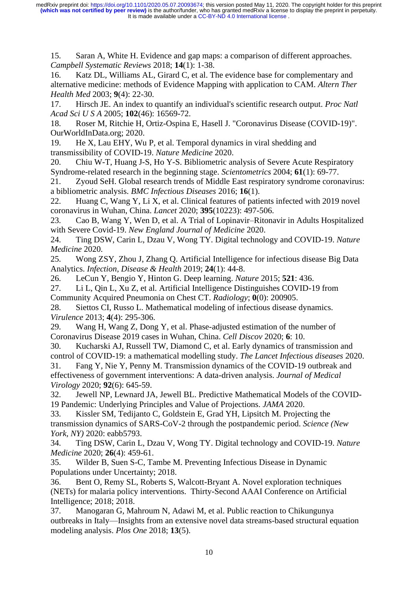15. Saran A, White H. Evidence and gap maps: a comparison of different approaches. *Campbell Systematic Reviews* 2018; **14**(1): 1-38.

16. Katz DL, Williams AL, Girard C, et al. The evidence base for complementary and alternative medicine: methods of Evidence Mapping with application to CAM. *Altern Ther Health Med* 2003; **9**(4): 22-30.

17. Hirsch JE. An index to quantify an individual's scientific research output. *Proc Natl Acad Sci U S A* 2005; **102**(46): 16569-72.

18. Roser M, Ritchie H, Ortiz-Ospina E, Hasell J. "Coronavirus Disease (COVID-19)". OurWorldInData.org; 2020.

19. He X, Lau EHY, Wu P, et al. Temporal dynamics in viral shedding and transmissibility of COVID-19. *Nature Medicine* 2020.

20. Chiu W-T, Huang J-S, Ho Y-S. Bibliometric analysis of Severe Acute Respiratory Syndrome-related research in the beginning stage. *Scientometrics* 2004; **61**(1): 69-77.

21. Zyoud SeH. Global research trends of Middle East respiratory syndrome coronavirus: a bibliometric analysis. *BMC Infectious Diseases* 2016; **16**(1).

22. Huang C, Wang Y, Li X, et al. Clinical features of patients infected with 2019 novel coronavirus in Wuhan, China. *Lancet* 2020; **395**(10223): 497-506.

23. Cao B, Wang Y, Wen D, et al. A Trial of Lopinavir–Ritonavir in Adults Hospitalized with Severe Covid-19. *New England Journal of Medicine* 2020.

24. Ting DSW, Carin L, Dzau V, Wong TY. Digital technology and COVID-19. *Nature Medicine* 2020.

25. Wong ZSY, Zhou J, Zhang Q. Artificial Intelligence for infectious disease Big Data Analytics. *Infection, Disease & Health* 2019; **24**(1): 44-8.

26. LeCun Y, Bengio Y, Hinton G. Deep learning. *Nature* 2015; **521**: 436.

27. Li L, Qin L, Xu Z, et al. Artificial Intelligence Distinguishes COVID-19 from Community Acquired Pneumonia on Chest CT. *Radiology*; **0**(0): 200905.

28. Siettos CI, Russo L. Mathematical modeling of infectious disease dynamics. *Virulence* 2013; **4**(4): 295-306.

29. Wang H, Wang Z, Dong Y, et al. Phase-adjusted estimation of the number of Coronavirus Disease 2019 cases in Wuhan, China. *Cell Discov* 2020; **6**: 10.

30. Kucharski AJ, Russell TW, Diamond C, et al. Early dynamics of transmission and control of COVID-19: a mathematical modelling study. *The Lancet Infectious diseases* 2020.

31. Fang Y, Nie Y, Penny M. Transmission dynamics of the COVID-19 outbreak and effectiveness of government interventions: A data-driven analysis. *Journal of Medical Virology* 2020; **92**(6): 645-59.

32. Jewell NP, Lewnard JA, Jewell BL. Predictive Mathematical Models of the COVID-19 Pandemic: Underlying Principles and Value of Projections. *JAMA* 2020.

33. Kissler SM, Tedijanto C, Goldstein E, Grad YH, Lipsitch M. Projecting the transmission dynamics of SARS-CoV-2 through the postpandemic period. *Science (New York, NY)* 2020: eabb5793.

34. Ting DSW, Carin L, Dzau V, Wong TY. Digital technology and COVID-19. *Nature Medicine* 2020; **26**(4): 459-61.

35. Wilder B, Suen S-C, Tambe M. Preventing Infectious Disease in Dynamic Populations under Uncertainty; 2018.

36. Bent O, Remy SL, Roberts S, Walcott-Bryant A. Novel exploration techniques (NETs) for malaria policy interventions. Thirty-Second AAAI Conference on Artificial Intelligence; 2018; 2018.

37. Manogaran G, Mahroum N, Adawi M, et al. Public reaction to Chikungunya outbreaks in Italy—Insights from an extensive novel data streams-based structural equation modeling analysis. *Plos One* 2018; **13**(5).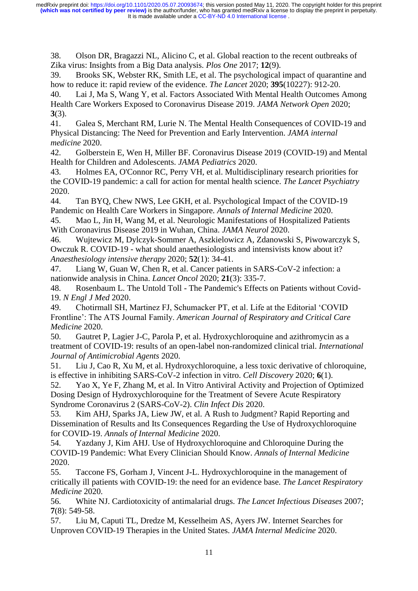38. Olson DR, Bragazzi NL, Alicino C, et al. Global reaction to the recent outbreaks of Zika virus: Insights from a Big Data analysis. *Plos One* 2017; **12**(9).

39. Brooks SK, Webster RK, Smith LE, et al. The psychological impact of quarantine and how to reduce it: rapid review of the evidence. *The Lancet* 2020; **395**(10227): 912-20.

40. Lai J, Ma S, Wang Y, et al. Factors Associated With Mental Health Outcomes Among Health Care Workers Exposed to Coronavirus Disease 2019. *JAMA Network Open* 2020; **3**(3).

41. Galea S, Merchant RM, Lurie N. The Mental Health Consequences of COVID-19 and Physical Distancing: The Need for Prevention and Early Intervention. *JAMA internal medicine* 2020.

42. Golberstein E, Wen H, Miller BF. Coronavirus Disease 2019 (COVID-19) and Mental Health for Children and Adolescents. *JAMA Pediatrics* 2020.

43. Holmes EA, O'Connor RC, Perry VH, et al. Multidisciplinary research priorities for the COVID-19 pandemic: a call for action for mental health science. *The Lancet Psychiatry* 2020.

44. Tan BYQ, Chew NWS, Lee GKH, et al. Psychological Impact of the COVID-19 Pandemic on Health Care Workers in Singapore. *Annals of Internal Medicine* 2020.

45. Mao L, Jin H, Wang M, et al. Neurologic Manifestations of Hospitalized Patients With Coronavirus Disease 2019 in Wuhan, China. *JAMA Neurol* 2020.

46. Wujtewicz M, Dylczyk-Sommer A, Aszkielowicz A, Zdanowski S, Piwowarczyk S, Owczuk R. COVID-19 - what should anaethesiologists and intensivists know about it? *Anaesthesiology intensive therapy* 2020; **52**(1): 34-41.

47. Liang W, Guan W, Chen R, et al. Cancer patients in SARS-CoV-2 infection: a nationwide analysis in China. *Lancet Oncol* 2020; **21**(3): 335-7.

48. Rosenbaum L. The Untold Toll - The Pandemic's Effects on Patients without Covid-19. *N Engl J Med* 2020.

49. Chotirmall SH, Martinez FJ, Schumacker PT, et al. Life at the Editorial 'COVID Frontline': The ATS Journal Family. *American Journal of Respiratory and Critical Care Medicine* 2020.

50. Gautret P, Lagier J-C, Parola P, et al. Hydroxychloroquine and azithromycin as a treatment of COVID-19: results of an open-label non-randomized clinical trial. *International Journal of Antimicrobial Agents* 2020.

51. Liu J, Cao R, Xu M, et al. Hydroxychloroquine, a less toxic derivative of chloroquine, is effective in inhibiting SARS-CoV-2 infection in vitro. *Cell Discovery* 2020; **6**(1).

52. Yao X, Ye F, Zhang M, et al. In Vitro Antiviral Activity and Projection of Optimized Dosing Design of Hydroxychloroquine for the Treatment of Severe Acute Respiratory Syndrome Coronavirus 2 (SARS-CoV-2). *Clin Infect Dis* 2020.

53. Kim AHJ, Sparks JA, Liew JW, et al. A Rush to Judgment? Rapid Reporting and Dissemination of Results and Its Consequences Regarding the Use of Hydroxychloroquine for COVID-19. *Annals of Internal Medicine* 2020.

54. Yazdany J, Kim AHJ. Use of Hydroxychloroquine and Chloroquine During the COVID-19 Pandemic: What Every Clinician Should Know. *Annals of Internal Medicine* 2020.

55. Taccone FS, Gorham J, Vincent J-L. Hydroxychloroquine in the management of critically ill patients with COVID-19: the need for an evidence base. *The Lancet Respiratory Medicine* 2020.

56. White NJ. Cardiotoxicity of antimalarial drugs. *The Lancet Infectious Diseases* 2007; **7**(8): 549-58.

57. Liu M, Caputi TL, Dredze M, Kesselheim AS, Ayers JW. Internet Searches for Unproven COVID-19 Therapies in the United States. *JAMA Internal Medicine* 2020.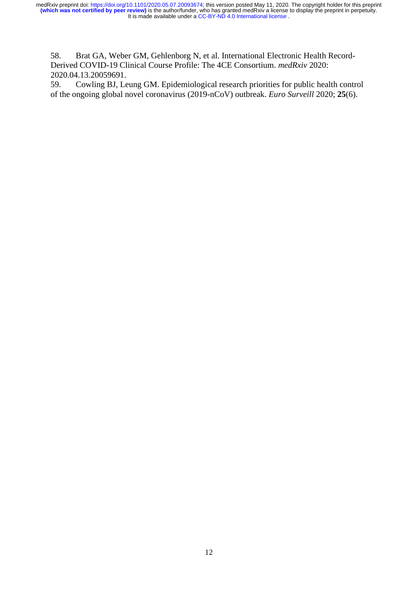58. Brat GA, Weber GM, Gehlenborg N, et al. International Electronic Health Record-Derived COVID-19 Clinical Course Profile: The 4CE Consortium. *medRxiv* 2020: 2020.04.13.20059691.

59. Cowling BJ, Leung GM. Epidemiological research priorities for public health control of the ongoing global novel coronavirus (2019-nCoV) outbreak. *Euro Surveill* 2020; **25**(6).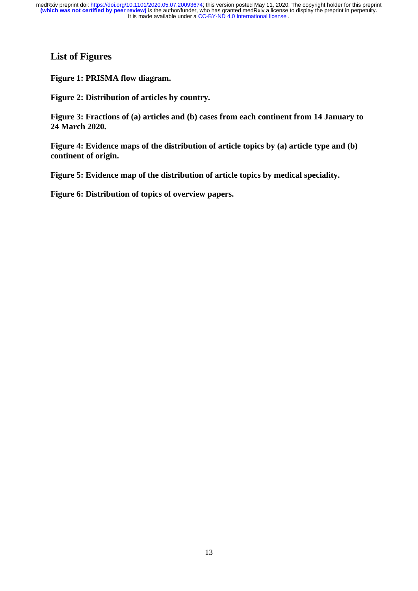# **List of Figures**

**Figure 1: PRISMA flow diagram.**

**Figure 2: Distribution of articles by country.**

**Figure 3: Fractions of (a) articles and (b) cases from each continent from 14 January to 24 March 2020.**

**Figure 4: Evidence maps of the distribution of article topics by (a) article type and (b) continent of origin.**

**Figure 5: Evidence map of the distribution of article topics by medical speciality.**

**Figure 6: Distribution of topics of overview papers.**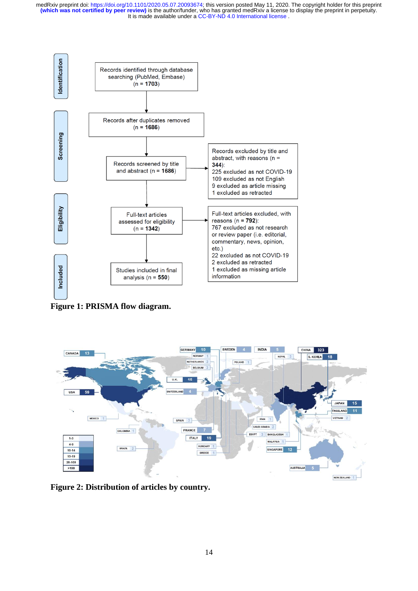

**Figure 1: PRISMA flow diagram.**



**Figure 2: Distribution of articles by country.**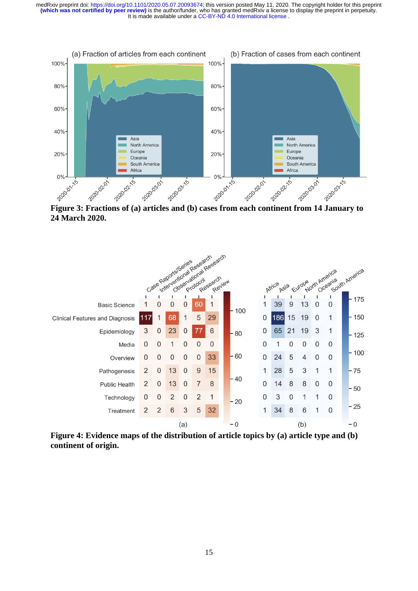

**24 March 2020.**



**Figure 4: Evidence maps of the distribution of article topics by (a) article type and (b) continent of origin.**